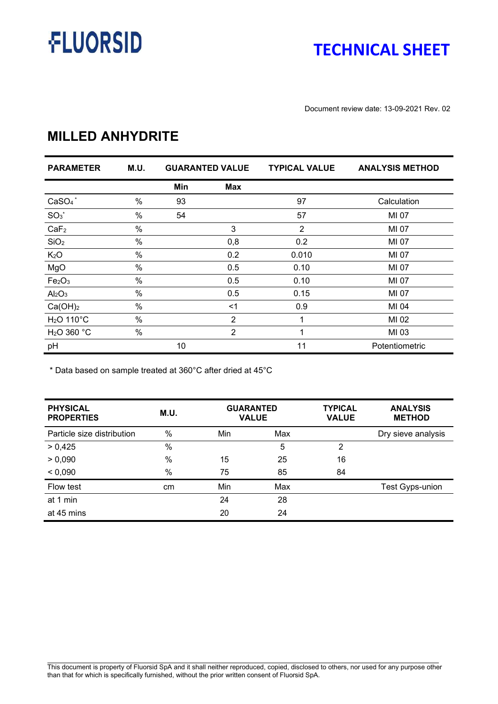# **FLUORSID**

### **TECHNICAL SHEET**

Document review date: 13-09-2021 Rev. 02

#### **MILLED ANHYDRITE**

| <b>PARAMETER</b>               | M.U. |     | <b>GUARANTED VALUE</b> | <b>TYPICAL VALUE</b> | <b>ANALYSIS METHOD</b> |
|--------------------------------|------|-----|------------------------|----------------------|------------------------|
|                                |      | Min | <b>Max</b>             |                      |                        |
| $CaSO4$ *                      | %    | 93  |                        | 97                   | Calculation            |
| $SO_3^*$                       | %    | 54  |                        | 57                   | MI 07                  |
| CaF <sub>2</sub>               | %    |     | 3                      | $\overline{2}$       | MI 07                  |
| SiO <sub>2</sub>               | %    |     | 0,8                    | 0.2                  | MI 07                  |
| K <sub>2</sub> O               | %    |     | 0.2                    | 0.010                | MI 07                  |
| MgO                            | %    |     | 0.5                    | 0.10                 | MI 07                  |
| Fe <sub>2</sub> O <sub>3</sub> | %    |     | 0.5                    | 0.10                 | MI 07                  |
| Al <sub>2</sub> O <sub>3</sub> | %    |     | 0.5                    | 0.15                 | MI 07                  |
| Ca(OH) <sub>2</sub>            | %    |     | $<$ 1                  | 0.9                  | MI 04                  |
| $H2O$ 110 $^{\circ}$ C         | $\%$ |     | 2                      | 1                    | MI 02                  |
| $H2O$ 360 °C                   | %    |     | $\overline{2}$         | 1                    | MI 03                  |
| pH                             |      | 10  |                        | 11                   | Potentiometric         |

\* Data based on sample treated at 360°C after dried at 45°C

| <b>PHYSICAL</b><br><b>PROPERTIES</b> | M.U.          | <b>GUARANTED</b><br><b>VALUE</b> |     | <b>TYPICAL</b><br><b>VALUE</b> | <b>ANALYSIS</b><br><b>METHOD</b> |
|--------------------------------------|---------------|----------------------------------|-----|--------------------------------|----------------------------------|
| Particle size distribution           | $\%$          | Min                              | Max |                                | Dry sieve analysis               |
| > 0,425                              | $\%$          |                                  | 5   | 2                              |                                  |
| > 0,090                              | $\frac{0}{0}$ | 15                               | 25  | 16                             |                                  |
| < 0,090                              | $\frac{0}{0}$ | 75                               | 85  | 84                             |                                  |
| Flow test                            | cm            | Min                              | Max |                                | <b>Test Gyps-union</b>           |
| at 1 min                             |               | 24                               | 28  |                                |                                  |
| at 45 mins                           |               | 20                               | 24  |                                |                                  |

This document is property of Fluorsid SpA and it shall neither reproduced, copied, disclosed to others, nor used for any purpose other than that for which is specifically furnished, without the prior written consent of Fluorsid SpA.